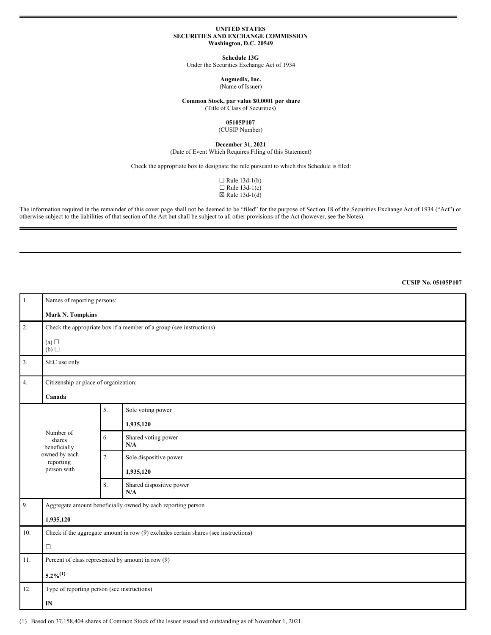#### **UNITED STATES SECURITIES AND EXCHANGE COMMISSION Washington, D.C. 20549**

**Schedule 13G**

Under the Securities Exchange Act of 1934

**Augmedix, Inc.** (Name of Issuer)

**Common Stock, par value \$0.0001 per share**

(Title of Class of Securities)

**05105P107** (CUSIP Number)

**December 31, 2021**

(Date of Event Which Requires Filing of this Statement)

Check the appropriate box to designate the rule pursuant to which this Schedule is filed:

 $\Box$  Rule 13d-1(b)  $\Box$  Rule 13d-1(c)  $\boxtimes$  Rule 13d-1(d)

The information required in the remainder of this cover page shall not be deemed to be "filed" for the purpose of Section 18 of the Securities Exchange Act of 1934 ("Act") or otherwise subject to the liabilities of that section of the Act but shall be subject to all other provisions of the Act (however, see the Notes).

**CUSIP No. 05105P107**

| 1.  | Names of reporting persons:                                                         |    |                                 |  |  |  |
|-----|-------------------------------------------------------------------------------------|----|---------------------------------|--|--|--|
|     | <b>Mark N. Tompkins</b>                                                             |    |                                 |  |  |  |
| 2.  | Check the appropriate box if a member of a group (see instructions)                 |    |                                 |  |  |  |
|     | (a)<br>(b)                                                                          |    |                                 |  |  |  |
| 3.  | SEC use only                                                                        |    |                                 |  |  |  |
| 4.  | Citizenship or place of organization:<br>Canada                                     |    |                                 |  |  |  |
|     | Number of<br>shares<br>beneficially<br>owned by each<br>reporting<br>person with    | 5. | Sole voting power               |  |  |  |
|     |                                                                                     |    | 1,935,120                       |  |  |  |
|     |                                                                                     | 6. | Shared voting power<br>N/A      |  |  |  |
|     |                                                                                     | 7. | Sole dispositive power          |  |  |  |
|     |                                                                                     |    | 1,935,120                       |  |  |  |
|     |                                                                                     | 8. | Shared dispositive power<br>N/A |  |  |  |
| 9.  | Aggregate amount beneficially owned by each reporting person                        |    |                                 |  |  |  |
|     | 1,935,120                                                                           |    |                                 |  |  |  |
| 10. | Check if the aggregate amount in row (9) excludes certain shares (see instructions) |    |                                 |  |  |  |
|     | $\Box$                                                                              |    |                                 |  |  |  |
| 11. | Percent of class represented by amount in row (9)                                   |    |                                 |  |  |  |
|     | $5.2\%/1)$                                                                          |    |                                 |  |  |  |
| 12. | Type of reporting person (see instructions)                                         |    |                                 |  |  |  |
|     | IN                                                                                  |    |                                 |  |  |  |

(1) Based on 37,158,404 shares of Common Stock of the Issuer issued and outstanding as of November 1, 2021.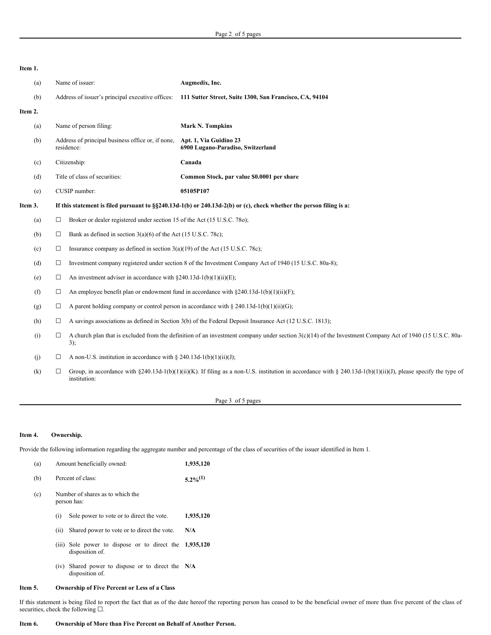**Item 1.** (a) Name of issuer: **Augmedix, Inc.** (b) Address of issuer's principal executive offices: **111 Sutter Street, Suite 1300, San Francisco, CA, 94104 Item 2.** (a) Name of person filing: **Mark N. Tompkins** (b) Address of principal business office or, if none, residence: **Apt. 1, Via Guidino 23 6900 Lugano-Paradiso, Switzerland** (c) Citizenship: **Canada** (d) Title of class of securities: **Common Stock, par value \$0.0001 per share** (e) CUSIP number: **05105P107** Item 3. If this statement is filed pursuant to §§240.13d-1(b) or 240.13d-2(b) or (c), check whether the person filing is a: (a)  $\Box$  Broker or dealer registered under section 15 of the Act (15 U.S.C. 780); (b)  $\Box$  Bank as defined in section 3(a)(6) of the Act (15 U.S.C. 78c); (c)  $\Box$  Insurance company as defined in section 3(a)(19) of the Act (15 U.S.C. 78c); (d) ☐ Investment company registered under section 8 of the Investment Company Act of 1940 (15 U.S.C. 80a-8); (e)  $\Box$  An investment adviser in accordance with §240.13d-1(b)(1)(ii)(E); (f)  $\Box$  An employee benefit plan or endowment fund in accordance with §240.13d-1(b)(1)(ii)(F); (g)  $\Box$  A parent holding company or control person in accordance with § 240.13d-1(b)(1)(ii)(G); (h)  $\Box$  A savings associations as defined in Section 3(b) of the Federal Deposit Insurance Act (12 U.S.C. 1813); (i)  $\Box$  A church plan that is excluded from the definition of an investment company under section 3(c)(14) of the Investment Company Act of 1940 (15 U.S.C. 80a-3); (j)  $\Box$  A non-U.S. institution in accordance with § 240.13d-1(b)(1)(ii)(J); (k)  $\Box$  Group, in accordance with §240.13d-1(b)(1)(ii)(K). If filing as a non-U.S. institution in accordance with § 240.13d-1(b)(1)(ii)(J), please specify the type of institution:

### Page 3 of 5 pages

### **Item 4. Ownership.**

Provide the following information regarding the aggregate number and percentage of the class of securities of the issuer identified in Item 1.

| (a) | Amount beneficially owned:                      | 1,935,120                                                                 |           |  |  |
|-----|-------------------------------------------------|---------------------------------------------------------------------------|-----------|--|--|
| (b) | Percent of class:                               | $5.2\%^{(1)}$                                                             |           |  |  |
| (c) | Number of shares as to which the<br>person has: |                                                                           |           |  |  |
|     | (i)                                             | Sole power to vote or to direct the vote.                                 | 1,935,120 |  |  |
|     | (ii)                                            | Shared power to vote or to direct the vote.                               | N/A       |  |  |
|     |                                                 | (iii) Sole power to dispose or to direct the 1,935,120<br>disposition of. |           |  |  |
|     |                                                 | (iv) Shared power to dispose or to direct the N/A                         |           |  |  |

# **Item 5. Ownership of Five Percent or Less of a Class**

disposition of.

If this statement is being filed to report the fact that as of the date hereof the reporting person has ceased to be the beneficial owner of more than five percent of the class of securities, check the following  $\square$ .